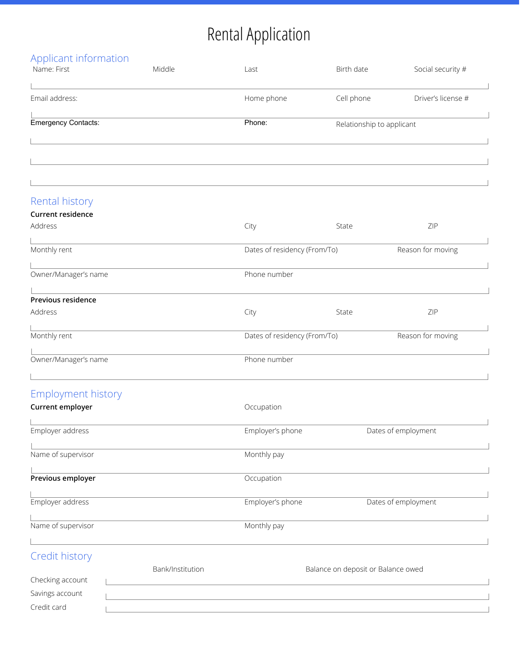## Rental Application

| Applicant information                         |                  |                                     |            |                     |
|-----------------------------------------------|------------------|-------------------------------------|------------|---------------------|
| Name: First                                   | Middle           | Last                                | Birth date | Social security #   |
| Email address:                                |                  | Home phone                          | Cell phone | Driver's license #  |
|                                               |                  |                                     |            |                     |
| <b>Emergency Contacts:</b>                    |                  | Phone:<br>Relationship to applicant |            |                     |
|                                               |                  |                                     |            |                     |
|                                               |                  |                                     |            |                     |
|                                               |                  |                                     |            |                     |
|                                               |                  |                                     |            |                     |
| Rental history                                |                  |                                     |            |                     |
| <b>Current residence</b><br>Address           |                  | City                                | State      | ZIP                 |
|                                               |                  |                                     |            |                     |
| Monthly rent                                  |                  | Dates of residency (From/To)        |            | Reason for moving   |
| Owner/Manager's name                          |                  | Phone number                        |            |                     |
|                                               |                  |                                     |            |                     |
| Previous residence                            |                  |                                     |            |                     |
| Address                                       |                  | City                                | State      | ZIP                 |
| Monthly rent                                  |                  | Dates of residency (From/To)        |            | Reason for moving   |
|                                               |                  |                                     |            |                     |
| Owner/Manager's name                          |                  | Phone number                        |            |                     |
|                                               |                  |                                     |            |                     |
| <b>Employment history</b><br>Current employer |                  | Occupation                          |            |                     |
|                                               |                  |                                     |            |                     |
| Employer address                              |                  | Employer's phone                    |            | Dates of employment |
| Name of supervisor                            |                  | Monthly pay                         |            |                     |
|                                               |                  |                                     |            |                     |
| Previous employer                             |                  | Occupation                          |            |                     |
| Employer address                              |                  | Employer's phone                    |            | Dates of employment |
|                                               |                  |                                     |            |                     |
| Name of supervisor                            |                  | Monthly pay                         |            |                     |
|                                               |                  |                                     |            |                     |
| Credit history                                |                  |                                     |            |                     |
| Checking account                              | Bank/Institution | Balance on deposit or Balance owed  |            |                     |
| Savings account                               |                  |                                     |            |                     |
| Credit card                                   |                  |                                     |            |                     |